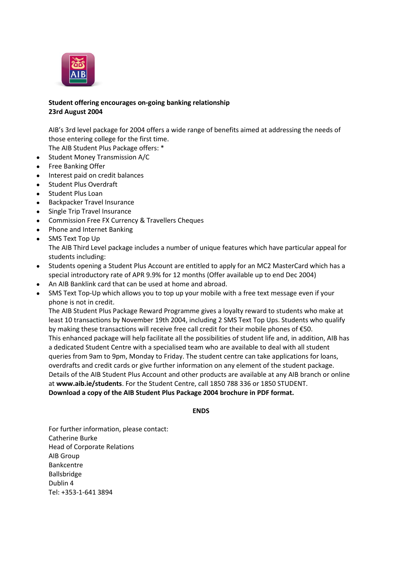

## **Student offering encourages on-going banking relationship 23rd August 2004**

AIB's 3rd level package for 2004 offers a wide range of benefits aimed at addressing the needs of those entering college for the first time. The AIB Student Plus Package offers: \*

- Student Money Transmission A/C  $\bullet$
- Free Banking Offer
- Interest paid on credit balances  $\bullet$
- Student Plus Overdraft  $\bullet$
- Student Plus Loan
- Backpacker Travel Insurance
- Single Trip Travel Insurance
- Commission Free FX Currency & Travellers Cheques  $\bullet$
- Phone and Internet Banking
- SMS Text Top Up  $\bullet$ The AIB Third Level package includes a number of unique features which have particular appeal for students including:
- Students opening a Student Plus Account are entitled to apply for an MC2 MasterCard which has a special introductory rate of APR 9.9% for 12 months (Offer available up to end Dec 2004)
- An AIB Banklink card that can be used at home and abroad.
- SMS Text Top-Up which allows you to top up your mobile with a free text message even if your phone is not in credit.

The AIB Student Plus Package Reward Programme gives a loyalty reward to students who make at least 10 transactions by November 19th 2004, including 2 SMS Text Top Ups. Students who qualify by making these transactions will receive free call credit for their mobile phones of €50. This enhanced package will help facilitate all the possibilities of student life and, in addition, AIB has a dedicated Student Centre with a specialised team who are available to deal with all student queries from 9am to 9pm, Monday to Friday. The student centre can take applications for loans, overdrafts and credit cards or give further information on any element of the student package. Details of the AIB Student Plus Account and other products are available at any AIB branch or online at **[www.aib.ie/students](http://www.aib.ie/students)**. For the Student Centre, call 1850 788 336 or 1850 STUDENT. **[Download a copy of the AIB Student Plus Package 2004 brochure in PDF format.](http://www.aib.ie/servlet/ContentServer?pagename=AIB_PressOffice/AIB_Download/aib_po_d_download&c=AIB_Download&cid=1093034534644)**

## **ENDS**

For further information, please contact: Catherine Burke Head of Corporate Relations AIB Group Bankcentre Ballsbridge Dublin 4 Tel: +353-1-641 3894